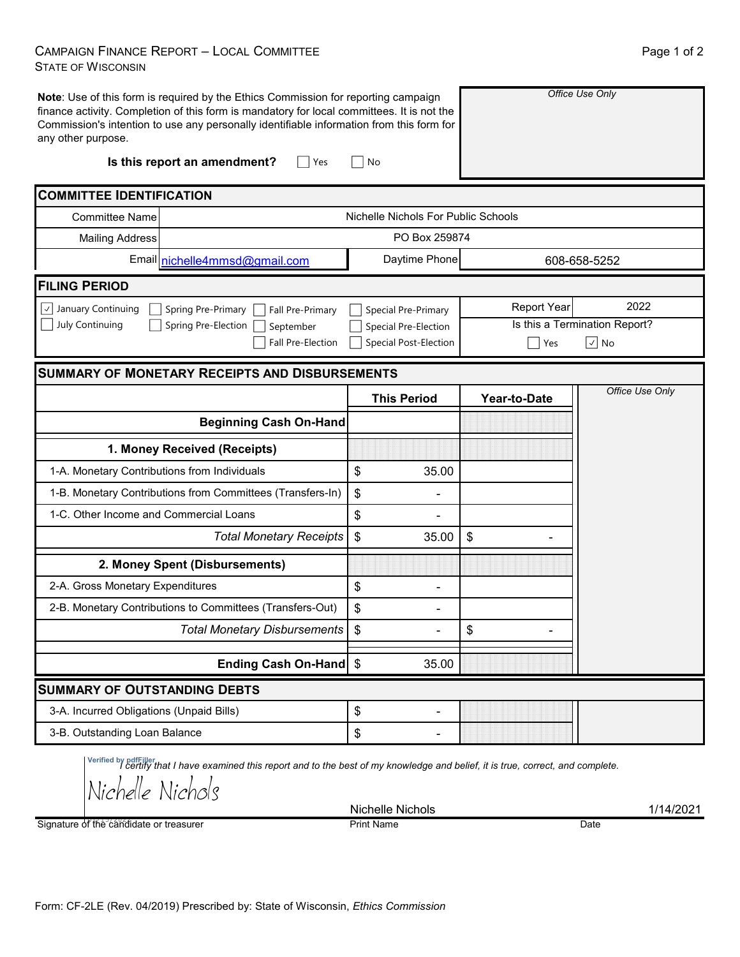## CAMPAIGN FINANCE REPORT – LOCAL COMMITTEE STATE OF WISCONSIN

| Page 1 of 2 |  |
|-------------|--|
|             |  |

| any other purpose.                           | Note: Use of this form is required by the Ethics Commission for reporting campaign<br>finance activity. Completion of this form is mandatory for local committees. It is not the<br>Commission's intention to use any personally identifiable information from this form for |                                                    |                    | Office Use Only               |  |  |  |  |
|----------------------------------------------|------------------------------------------------------------------------------------------------------------------------------------------------------------------------------------------------------------------------------------------------------------------------------|----------------------------------------------------|--------------------|-------------------------------|--|--|--|--|
|                                              | Is this report an amendment?<br>Yes                                                                                                                                                                                                                                          | No                                                 |                    |                               |  |  |  |  |
| <b>COMMITTEE IDENTIFICATION</b>              |                                                                                                                                                                                                                                                                              |                                                    |                    |                               |  |  |  |  |
| <b>Committee Name</b>                        |                                                                                                                                                                                                                                                                              | Nichelle Nichols For Public Schools                |                    |                               |  |  |  |  |
| <b>Mailing Address</b>                       |                                                                                                                                                                                                                                                                              | PO Box 259874                                      |                    |                               |  |  |  |  |
|                                              | Email nichelle4mmsd@gmail.com                                                                                                                                                                                                                                                | Daytime Phone                                      | 608-658-5252       |                               |  |  |  |  |
| <b>FILING PERIOD</b>                         |                                                                                                                                                                                                                                                                              |                                                    |                    |                               |  |  |  |  |
| $\vee$ January Continuing                    | Spring Pre-Primary<br>Fall Pre-Primary                                                                                                                                                                                                                                       | Special Pre-Primary                                | <b>Report Year</b> | 2022                          |  |  |  |  |
| July Continuing                              | Spring Pre-Election<br>September                                                                                                                                                                                                                                             | Special Pre-Election                               |                    | Is this a Termination Report? |  |  |  |  |
|                                              | Fall Pre-Election                                                                                                                                                                                                                                                            | <b>Special Post-Election</b>                       | Yes                | $\sqrt{ }$ No                 |  |  |  |  |
|                                              | <b>SUMMARY OF MONETARY RECEIPTS AND DISBURSEMENTS</b>                                                                                                                                                                                                                        |                                                    |                    |                               |  |  |  |  |
|                                              |                                                                                                                                                                                                                                                                              | <b>This Period</b>                                 | Year-to-Date       | Office Use Only               |  |  |  |  |
|                                              | <b>Beginning Cash On-Hand</b>                                                                                                                                                                                                                                                |                                                    |                    |                               |  |  |  |  |
|                                              |                                                                                                                                                                                                                                                                              |                                                    |                    |                               |  |  |  |  |
|                                              | 1. Money Received (Receipts)                                                                                                                                                                                                                                                 |                                                    |                    |                               |  |  |  |  |
| 1-A. Monetary Contributions from Individuals |                                                                                                                                                                                                                                                                              | $\, \, \raisebox{12pt}{$\scriptstyle \$}$<br>35.00 |                    |                               |  |  |  |  |
|                                              | 1-B. Monetary Contributions from Committees (Transfers-In)                                                                                                                                                                                                                   | \$                                                 |                    |                               |  |  |  |  |
| 1-C. Other Income and Commercial Loans       |                                                                                                                                                                                                                                                                              | \$                                                 |                    |                               |  |  |  |  |
|                                              | <b>Total Monetary Receipts</b>                                                                                                                                                                                                                                               | \$<br>35.00                                        | \$                 |                               |  |  |  |  |
|                                              | 2. Money Spent (Disbursements)                                                                                                                                                                                                                                               |                                                    |                    |                               |  |  |  |  |
| 2-A. Gross Monetary Expenditures             |                                                                                                                                                                                                                                                                              | \$                                                 |                    |                               |  |  |  |  |
|                                              | 2-B. Monetary Contributions to Committees (Transfers-Out)                                                                                                                                                                                                                    | \$                                                 |                    |                               |  |  |  |  |
|                                              | <b>Total Monetary Disbursements</b>                                                                                                                                                                                                                                          | \$                                                 | \$                 |                               |  |  |  |  |
|                                              | Ending Cash On-Hand   \$                                                                                                                                                                                                                                                     | 35.00                                              |                    |                               |  |  |  |  |
| <b>SUMMARY OF OUTSTANDING DEBTS</b>          |                                                                                                                                                                                                                                                                              |                                                    |                    |                               |  |  |  |  |
| 3-A. Incurred Obligations (Unpaid Bills)     |                                                                                                                                                                                                                                                                              | \$<br>$\overline{\phantom{a}}$                     |                    |                               |  |  |  |  |

*I certify that I have examined this report and to the best of my knowledge and belief, it is true, correct, and complete.* **Verified by pdfFiller**

Nichelle Nichols

Signature of the candidate or treasurer

Nichelle Nichols 1/14/2021 Print Name Date